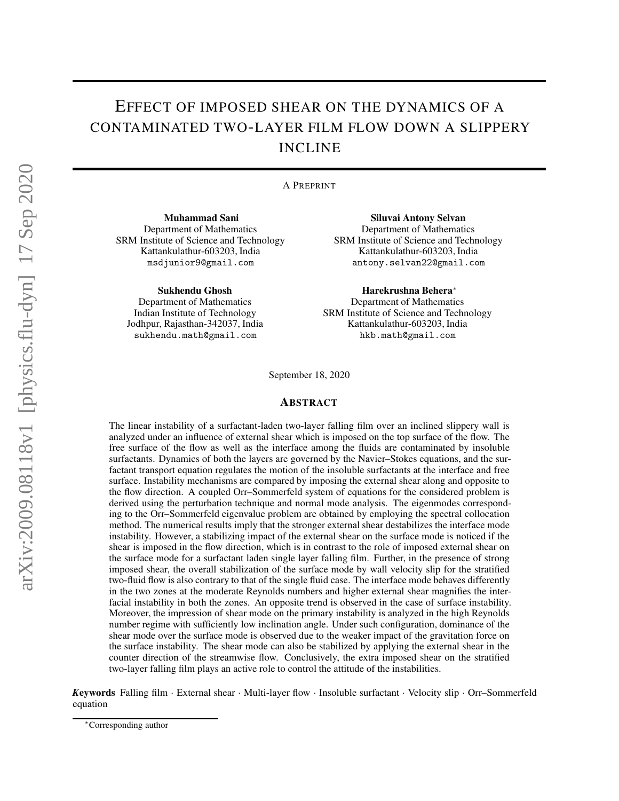# EFFECT OF IMPOSED SHEAR ON THE DYNAMICS OF A CONTAMINATED TWO-LAYER FILM FLOW DOWN A SLIPPERY INCLINE

A PREPRINT

Muhammad Sani Department of Mathematics SRM Institute of Science and Technology Kattankulathur-603203, India msdjunior9@gmail.com

Sukhendu Ghosh

Department of Mathematics Indian Institute of Technology Jodhpur, Rajasthan-342037, India sukhendu.math@gmail.com

Siluvai Antony Selvan Department of Mathematics SRM Institute of Science and Technology Kattankulathur-603203, India antony.selvan22@gmail.com

Harekrushna Behera<sup>∗</sup> Department of Mathematics SRM Institute of Science and Technology

Kattankulathur-603203, India hkb.math@gmail.com

September 18, 2020

## ABSTRACT

The linear instability of a surfactant-laden two-layer falling film over an inclined slippery wall is analyzed under an influence of external shear which is imposed on the top surface of the flow. The free surface of the flow as well as the interface among the fluids are contaminated by insoluble surfactants. Dynamics of both the layers are governed by the Navier–Stokes equations, and the surfactant transport equation regulates the motion of the insoluble surfactants at the interface and free surface. Instability mechanisms are compared by imposing the external shear along and opposite to the flow direction. A coupled Orr–Sommerfeld system of equations for the considered problem is derived using the perturbation technique and normal mode analysis. The eigenmodes corresponding to the Orr–Sommerfeld eigenvalue problem are obtained by employing the spectral collocation method. The numerical results imply that the stronger external shear destabilizes the interface mode instability. However, a stabilizing impact of the external shear on the surface mode is noticed if the shear is imposed in the flow direction, which is in contrast to the role of imposed external shear on the surface mode for a surfactant laden single layer falling film. Further, in the presence of strong imposed shear, the overall stabilization of the surface mode by wall velocity slip for the stratified two-fluid flow is also contrary to that of the single fluid case. The interface mode behaves differently in the two zones at the moderate Reynolds numbers and higher external shear magnifies the interfacial instability in both the zones. An opposite trend is observed in the case of surface instability. Moreover, the impression of shear mode on the primary instability is analyzed in the high Reynolds number regime with sufficiently low inclination angle. Under such configuration, dominance of the shear mode over the surface mode is observed due to the weaker impact of the gravitation force on the surface instability. The shear mode can also be stabilized by applying the external shear in the counter direction of the streamwise flow. Conclusively, the extra imposed shear on the stratified two-layer falling film plays an active role to control the attitude of the instabilities.

*Keywords* Falling film · External shear · Multi-layer flow · Insoluble surfactant · Velocity slip · Orr–Sommerfeld equation

<sup>∗</sup>Corresponding author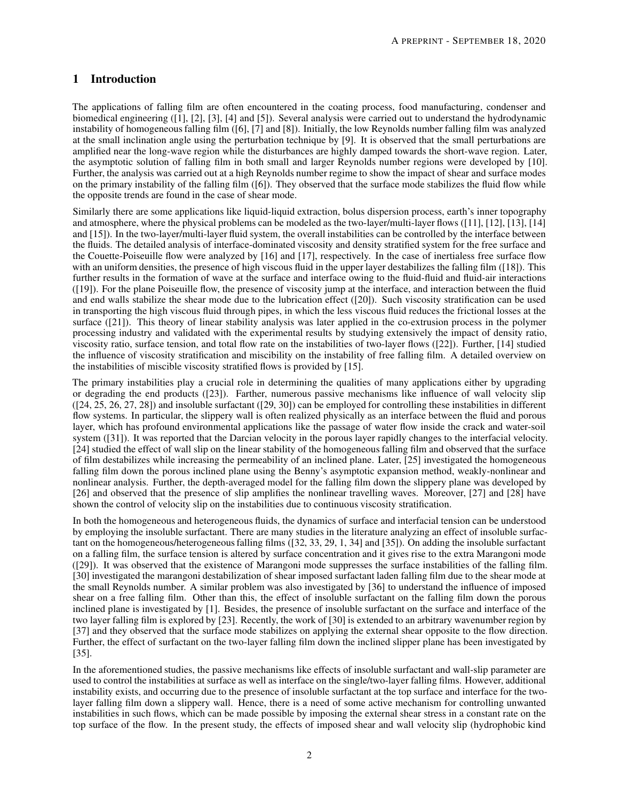# 1 Introduction

The applications of falling film are often encountered in the coating process, food manufacturing, condenser and biomedical engineering ([1], [2], [3], [4] and [5]). Several analysis were carried out to understand the hydrodynamic instability of homogeneous falling film ([6], [7] and [8]). Initially, the low Reynolds number falling film was analyzed at the small inclination angle using the perturbation technique by [9]. It is observed that the small perturbations are amplified near the long-wave region while the disturbances are highly damped towards the short-wave region. Later, the asymptotic solution of falling film in both small and larger Reynolds number regions were developed by [10]. Further, the analysis was carried out at a high Reynolds number regime to show the impact of shear and surface modes on the primary instability of the falling film ([6]). They observed that the surface mode stabilizes the fluid flow while the opposite trends are found in the case of shear mode.

Similarly there are some applications like liquid-liquid extraction, bolus dispersion process, earth's inner topography and atmosphere, where the physical problems can be modeled as the two-layer/multi-layer flows ([11], [12], [13], [14] and [15]). In the two-layer/multi-layer fluid system, the overall instabilities can be controlled by the interface between the fluids. The detailed analysis of interface-dominated viscosity and density stratified system for the free surface and the Couette-Poiseuille flow were analyzed by [16] and [17], respectively. In the case of inertialess free surface flow with an uniform densities, the presence of high viscous fluid in the upper layer destabilizes the falling film ([18]). This further results in the formation of wave at the surface and interface owing to the fluid-fluid and fluid-air interactions ([19]). For the plane Poiseuille flow, the presence of viscosity jump at the interface, and interaction between the fluid and end walls stabilize the shear mode due to the lubrication effect ([20]). Such viscosity stratification can be used in transporting the high viscous fluid through pipes, in which the less viscous fluid reduces the frictional losses at the surface ([21]). This theory of linear stability analysis was later applied in the co-extrusion process in the polymer processing industry and validated with the experimental results by studying extensively the impact of density ratio, viscosity ratio, surface tension, and total flow rate on the instabilities of two-layer flows ([22]). Further, [14] studied the influence of viscosity stratification and miscibility on the instability of free falling film. A detailed overview on the instabilities of miscible viscosity stratified flows is provided by [15].

The primary instabilities play a crucial role in determining the qualities of many applications either by upgrading or degrading the end products ([23]). Farther, numerous passive mechanisms like influence of wall velocity slip ([24, 25, 26, 27, 28]) and insoluble surfactant ([29, 30]) can be employed for controlling these instabilities in different flow systems. In particular, the slippery wall is often realized physically as an interface between the fluid and porous layer, which has profound environmental applications like the passage of water flow inside the crack and water-soil system ([31]). It was reported that the Darcian velocity in the porous layer rapidly changes to the interfacial velocity. [24] studied the effect of wall slip on the linear stability of the homogeneous falling film and observed that the surface of film destabilizes while increasing the permeability of an inclined plane. Later, [25] investigated the homogeneous falling film down the porous inclined plane using the Benny's asymptotic expansion method, weakly-nonlinear and nonlinear analysis. Further, the depth-averaged model for the falling film down the slippery plane was developed by [26] and observed that the presence of slip amplifies the nonlinear travelling waves. Moreover, [27] and [28] have shown the control of velocity slip on the instabilities due to continuous viscosity stratification.

In both the homogeneous and heterogeneous fluids, the dynamics of surface and interfacial tension can be understood by employing the insoluble surfactant. There are many studies in the literature analyzing an effect of insoluble surfactant on the homogeneous/heterogeneous falling films ([32, 33, 29, 1, 34] and [35]). On adding the insoluble surfactant on a falling film, the surface tension is altered by surface concentration and it gives rise to the extra Marangoni mode ([29]). It was observed that the existence of Marangoni mode suppresses the surface instabilities of the falling film. [30] investigated the marangoni destabilization of shear imposed surfactant laden falling film due to the shear mode at the small Reynolds number. A similar problem was also investigated by [36] to understand the influence of imposed shear on a free falling film. Other than this, the effect of insoluble surfactant on the falling film down the porous inclined plane is investigated by [1]. Besides, the presence of insoluble surfactant on the surface and interface of the two layer falling film is explored by [23]. Recently, the work of [30] is extended to an arbitrary wavenumber region by [37] and they observed that the surface mode stabilizes on applying the external shear opposite to the flow direction. Further, the effect of surfactant on the two-layer falling film down the inclined slipper plane has been investigated by [35].

In the aforementioned studies, the passive mechanisms like effects of insoluble surfactant and wall-slip parameter are used to control the instabilities at surface as well as interface on the single/two-layer falling films. However, additional instability exists, and occurring due to the presence of insoluble surfactant at the top surface and interface for the twolayer falling film down a slippery wall. Hence, there is a need of some active mechanism for controlling unwanted instabilities in such flows, which can be made possible by imposing the external shear stress in a constant rate on the top surface of the flow. In the present study, the effects of imposed shear and wall velocity slip (hydrophobic kind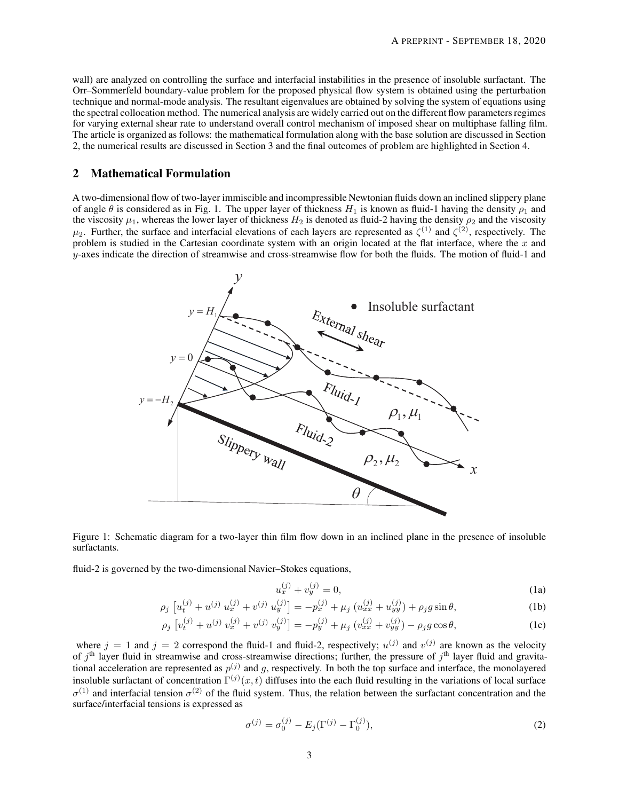wall) are analyzed on controlling the surface and interfacial instabilities in the presence of insoluble surfactant. The Orr–Sommerfeld boundary-value problem for the proposed physical flow system is obtained using the perturbation technique and normal-mode analysis. The resultant eigenvalues are obtained by solving the system of equations using the spectral collocation method. The numerical analysis are widely carried out on the different flow parameters regimes for varying external shear rate to understand overall control mechanism of imposed shear on multiphase falling film. The article is organized as follows: the mathematical formulation along with the base solution are discussed in Section 2, the numerical results are discussed in Section 3 and the final outcomes of problem are highlighted in Section 4.

# 2 Mathematical Formulation

A two-dimensional flow of two-layer immiscible and incompressible Newtonian fluids down an inclined slippery plane of angle  $\theta$  is considered as in Fig. 1. The upper layer of thickness  $H_1$  is known as fluid-1 having the density  $\rho_1$  and the viscosity  $\mu_1$ , whereas the lower layer of thickness  $H_2$  is denoted as fluid-2 having the density  $\rho_2$  and the viscosity  $\mu_2$ . Further, the surface and interfacial elevations of each layers are represented as  $\zeta^{(1)}$  and  $\zeta^{(2)}$ , respectively. The problem is studied in the Cartesian coordinate system with an origin located at the flat interface, where the  $x$  and  $y$ -axes indicate the direction of streamwise and cross-streamwise flow for both the fluids. The motion of fluid-1 and



Figure 1: Schematic diagram for a two-layer thin film flow down in an inclined plane in the presence of insoluble surfactants.

fluid-2 is governed by the two-dimensional Navier–Stokes equations,

$$
u_x^{(j)} + v_y^{(j)} = 0,\t\t(1a)
$$

$$
\rho_j \left[ u_t^{(j)} + u^{(j)} u_x^{(j)} + v^{(j)} u_y^{(j)} \right] = -p_x^{(j)} + \mu_j \left( u_{xx}^{(j)} + u_{yy}^{(j)} \right) + \rho_j g \sin \theta, \tag{1b}
$$

$$
\rho_j \left[ v_t^{(j)} + u^{(j)} v_x^{(j)} + v^{(j)} v_y^{(j)} \right] = -p_y^{(j)} + \mu_j \left( v_{xx}^{(j)} + v_{yy}^{(j)} \right) - \rho_j g \cos \theta,\tag{1c}
$$

where  $j = 1$  and  $j = 2$  correspond the fluid-1 and fluid-2, respectively;  $u^{(j)}$  and  $v^{(j)}$  are known as the velocity of  $j<sup>th</sup>$  layer fluid in streamwise and cross-streamwise directions; further, the pressure of  $j<sup>th</sup>$  layer fluid and gravitational acceleration are represented as  $p^{(j)}$  and g, respectively. In both the top surface and interface, the monolayered insoluble surfactant of concentration  $\Gamma^{(j)}(x,t)$  diffuses into the each fluid resulting in the variations of local surface  $\sigma^{(1)}$  and interfacial tension  $\sigma^{(2)}$  of the fluid system. Thus, the relation between the surfactant concentration and the surface/interfacial tensions is expressed as

$$
\sigma^{(j)} = \sigma_0^{(j)} - E_j(\Gamma^{(j)} - \Gamma_0^{(j)}),\tag{2}
$$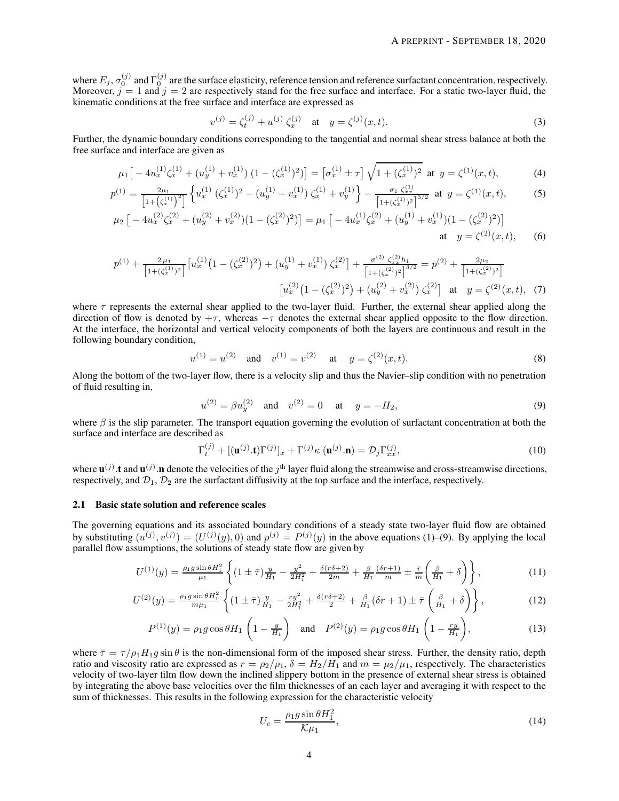where  $E_j$ ,  $\sigma_0^{(j)}$  and  $\Gamma_0^{(j)}$  are the surface elasticity, reference tension and reference surfactant concentration, respectively. Moreover,  $j = 1$  and  $j = 2$  are respectively stand for the free surface and interface. For a static two-layer fluid, the kinematic conditions at the free surface and interface are expressed as

$$
v^{(j)} = \zeta_t^{(j)} + u^{(j)} \zeta_x^{(j)} \quad \text{at} \quad y = \zeta^{(j)}(x, t). \tag{3}
$$

Further, the dynamic boundary conditions corresponding to the tangential and normal shear stress balance at both the free surface and interface are given as

$$
\mu_1 \left[ -4u_x^{(1)} \zeta_x^{(1)} + (u_y^{(1)} + v_x^{(1)}) \left( 1 - (\zeta_x^{(1)})^2 \right) \right] = \left[ \sigma_x^{(1)} \pm \tau \right] \sqrt{1 + (\zeta_x^{(1)})^2} \text{ at } y = \zeta^{(1)}(x, t),\tag{4}
$$

$$
p^{(1)} = \frac{2\mu_1}{\left[1+\left(\zeta_x^{(1)}\right)^2\right]} \left\{ u_x^{(1)}\left(\zeta_x^{(1)}\right)^2 - \left(u_y^{(1)} + v_x^{(1)}\right)\zeta_x^{(1)} + v_y^{(1)} \right\} - \frac{\sigma_1 \zeta_{xx}^{(1)}}{\left[1+\left(\zeta_x^{(1)}\right)^2\right]^{3/2}} \text{ at } y = \zeta^{(1)}(x,t),\tag{5}
$$

$$
\mu_2 \left[ -4u_x^{(2)} \zeta_x^{(2)} + (u_y^{(2)} + v_x^{(2)}) (1 - (\zeta_x^{(2)})^2) \right] = \mu_1 \left[ -4u_x^{(1)} \zeta_x^{(2)} + (u_y^{(1)} + v_x^{(1)}) (1 - (\zeta_x^{(2)})^2) \right]
$$
  
at  $y = \zeta^{(2)}(x, t)$ , (6)

$$
p^{(1)} + \frac{2\mu_1}{\left[1+(\zeta_x^{(1)})^2\right]} \left[u_x^{(1)}\left(1-(\zeta_x^{(2)})^2\right) + (u_y^{(1)} + v_x^{(1)})\zeta_x^{(2)}\right] + \frac{\sigma^{(2)}\zeta_x^{(2)}h_1}{\left[1+(\zeta_x^{(2)})^2\right]^{3/2}} = p^{(2)} + \frac{2\mu_2}{\left[1+(\zeta_x^{(2)})^2\right]}
$$

$$
\left[u_x^{(2)}\left(1-(\zeta_x^{(2)})^2\right) + (u_y^{(2)} + v_x^{(2)})\zeta_x^{(2)}\right] \text{ at } y = \zeta^{(2)}(x,t), \tag{7}
$$

where  $\tau$  represents the external shear applied to the two-layer fluid. Further, the external shear applied along the direction of flow is denoted by  $+\tau$ , whereas  $-\tau$  denotes the external shear applied opposite to the flow direction. At the interface, the horizontal and vertical velocity components of both the layers are continuous and result in the following boundary condition,

$$
u^{(1)} = u^{(2)}
$$
 and  $v^{(1)} = v^{(2)}$  at  $y = \zeta^{(2)}(x, t)$ . (8)

Along the bottom of the two-layer flow, there is a velocity slip and thus the Navier–slip condition with no penetration of fluid resulting in,

$$
u^{(2)} = \beta u_y^{(2)} \quad \text{and} \quad v^{(2)} = 0 \quad \text{at} \quad y = -H_2,\tag{9}
$$

where  $\beta$  is the slip parameter. The transport equation governing the evolution of surfactant concentration at both the surface and interface are described as

$$
\Gamma_t^{(j)} + [(\mathbf{u}^{(j)}.\mathbf{t})\Gamma^{(j)}]_x + \Gamma^{(j)}\kappa(\mathbf{u}^{(j)}.\mathbf{n}) = \mathcal{D}_j\Gamma_{xx}^{(j)},\tag{10}
$$

where  $\mathbf{u}^{(j)}$  t and  $\mathbf{u}^{(j)}$  n denote the velocities of the j<sup>th</sup> layer fluid along the streamwise and cross-streamwise directions, respectively, and  $\mathcal{D}_1, \mathcal{D}_2$  are the surfactant diffusivity at the top surface and the interface, respectively.

## 2.1 Basic state solution and reference scales

The governing equations and its associated boundary conditions of a steady state two-layer fluid flow are obtained by substituting  $(u^{(j)}, v^{(j)}) = (U^{(j)}(y), 0)$  and  $p^{(j)} = P^{(j)}(y)$  in the above equations (1)–(9). By applying the local parallel flow assumptions, the solutions of steady state flow are given by

$$
U^{(1)}(y) = \frac{\rho_1 g \sin \theta H_1^2}{\mu_1} \left\{ (1 \pm \bar{\tau}) \frac{y}{H_1} - \frac{y^2}{2H_1^2} + \frac{\delta(r\delta + 2)}{2m} + \frac{\beta}{H_1} \frac{(\delta r + 1)}{m} \pm \frac{\bar{\tau}}{m} \left( \frac{\beta}{H_1} + \delta \right) \right\},\tag{11}
$$

$$
U^{(2)}(y) = \frac{\rho_1 g \sin \theta H_1^2}{m \mu_1} \left\{ (1 \pm \bar{\tau}) \frac{y}{H_1} - \frac{ry^2}{2H_1^2} + \frac{\delta(r\delta + 2)}{2} + \frac{\beta}{H_1} (\delta r + 1) \pm \bar{\tau} \left( \frac{\beta}{H_1} + \delta \right) \right\},\tag{12}
$$

$$
P^{(1)}(y) = \rho_1 g \cos \theta H_1 \left( 1 - \frac{y}{H_1} \right) \quad \text{and} \quad P^{(2)}(y) = \rho_1 g \cos \theta H_1 \left( 1 - \frac{ry}{H_1} \right), \tag{13}
$$

where  $\bar{\tau} = \tau/\rho_1 H_1 g \sin \theta$  is the non-dimensional form of the imposed shear stress. Further, the density ratio, depth ratio and viscosity ratio are expressed as  $r = \rho_2/\rho_1$ ,  $\delta = H_2/H_1$  and  $m = \mu_2/\mu_1$ , respectively. The characteristics velocity of two-layer film flow down the inclined slippery bottom in the presence of external shear stress is obtained by integrating the above base velocities over the film thicknesses of an each layer and averaging it with respect to the sum of thicknesses. This results in the following expression for the characteristic velocity

$$
U_c = \frac{\rho_1 g \sin \theta H_1^2}{\mathcal{K}\mu_1},\tag{14}
$$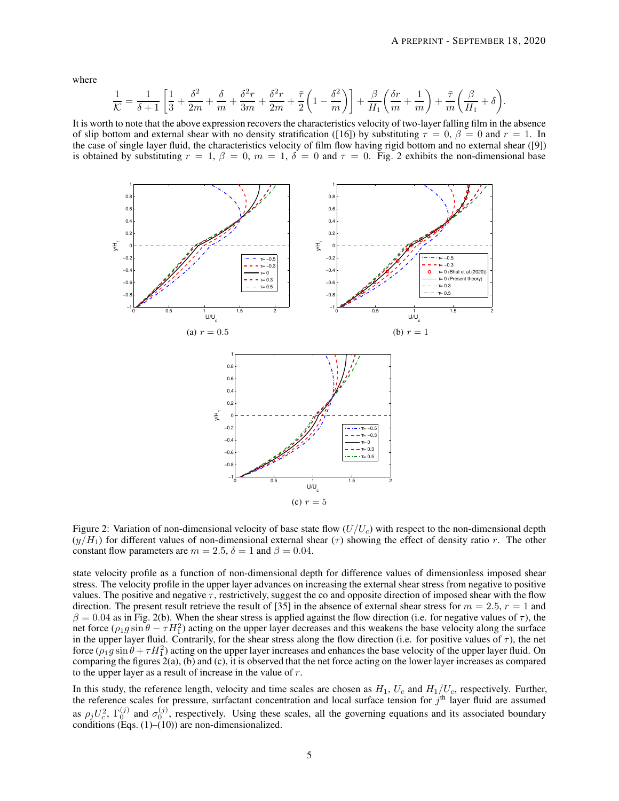where

$$
\frac{1}{K} = \frac{1}{\delta+1} \left[ \frac{1}{3} + \frac{\delta^2}{2m} + \frac{\delta}{m} + \frac{\delta^2 r}{3m} + \frac{\delta^2 r}{2m} + \frac{\bar{\tau}}{2} \left( 1 - \frac{\delta^2}{m} \right) \right] + \frac{\beta}{H_1} \left( \frac{\delta r}{m} + \frac{1}{m} \right) + \frac{\bar{\tau}}{m} \left( \frac{\beta}{H_1} + \delta \right).
$$

It is worth to note that the above expression recovers the characteristics velocity of two-layer falling film in the absence of slip bottom and external shear with no density stratification ([16]) by substituting  $\tau = 0$ ,  $\beta = 0$  and  $r = 1$ . In the case of single layer fluid, the characteristics velocity of film flow having rigid bottom and no external shear ([9]) is obtained by substituting  $r = 1$ ,  $\beta = 0$ ,  $m = 1$ ,  $\delta = 0$  and  $\tau = 0$ . Fig. 2 exhibits the non-dimensional base



Figure 2: Variation of non-dimensional velocity of base state flow  $(U/U_c)$  with respect to the non-dimensional depth  $(y/H_1)$  for different values of non-dimensional external shear ( $\tau$ ) showing the effect of density ratio r. The other constant flow parameters are  $m = 2.5$ ,  $\delta = 1$  and  $\beta = 0.04$ .

state velocity profile as a function of non-dimensional depth for difference values of dimensionless imposed shear stress. The velocity profile in the upper layer advances on increasing the external shear stress from negative to positive values. The positive and negative  $\tau$ , restrictively, suggest the co and opposite direction of imposed shear with the flow direction. The present result retrieve the result of [35] in the absence of external shear stress for  $m = 2.5$ ,  $r = 1$  and  $\beta = 0.04$  as in Fig. 2(b). When the shear stress is applied against the flow direction (i.e. for negative values of  $\tau$ ), the net force  $(\rho_1 g \sin \theta - \tau H_1^2)$  acting on the upper layer decreases and this weakens the base velocity along the surface in the upper layer fluid. Contrarily, for the shear stress along the flow direction (i.e. for positive values of  $\tau$ ), the net force  $(\rho_1 g \sin \theta + \tau H_1^2)$  acting on the upper layer increases and enhances the base velocity of the upper layer fluid. On comparing the figures 2(a), (b) and (c), it is observed that the net force acting on the lower layer increases as compared to the upper layer as a result of increase in the value of r.

In this study, the reference length, velocity and time scales are chosen as  $H_1$ ,  $U_c$  and  $H_1/U_c$ , respectively. Further, the reference scales for pressure, surfactant concentration and local surface tension for  $j<sup>th</sup>$  layer fluid are assumed as  $\rho_j U_c^2$ ,  $\Gamma_0^{(j)}$  and  $\sigma_0^{(j)}$ , respectively. Using these scales, all the governing equations and its associated boundary conditions (Eqs.  $(1)$ – $(10)$ ) are non-dimensionalized.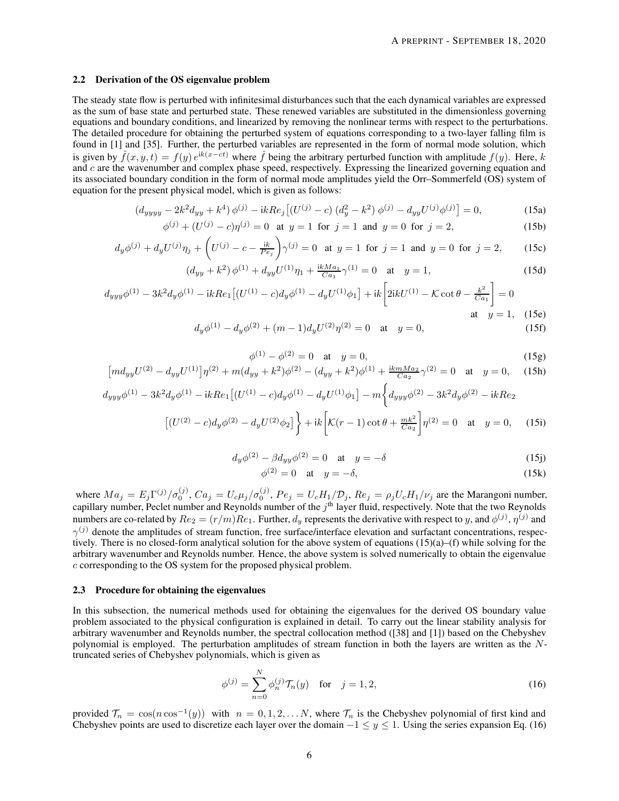### 2.2 Derivation of the OS eigenvalue problem

The steady state flow is perturbed with infinitesimal disturbances such that the each dynamical variables are expressed as the sum of base state and perturbed state. These renewed variables are substituted in the dimensionless governing equations and boundary conditions, and linearized by removing the nonlinear terms with respect to the perturbations. The detailed procedure for obtaining the perturbed system of equations corresponding to a two-layer falling film is found in [1] and [35]. Further, the perturbed variables are represented in the form of normal mode solution, which is given by  $\hat{f}(x, y, t) = f(y) e^{ik(x-ct)}$  where  $\hat{f}$  being the arbitrary perturbed function with amplitude  $f(y)$ . Here, k and c are the wavenumber and complex phase speed, respectively. Expressing the linearized governing equation and its associated boundary condition in the form of normal mode amplitudes yield the Orr–Sommerfeld (OS) system of equation for the present physical model, which is given as follows:

$$
(d_{yyyy} - 2k^2 d_{yy} + k^4) \phi^{(j)} - ikRe_j [(U^{(j)} - c) (d_y^2 - k^2) \phi^{(j)} - d_{yy} U^{(j)} \phi^{(j)}] = 0,
$$
\n(15a)

$$
\phi^{(j)} + (U^{(j)} - c)\eta^{(j)} = 0 \text{ at } y = 1 \text{ for } j = 1 \text{ and } y = 0 \text{ for } j = 2,
$$
 (15b)

$$
d_y \phi^{(j)} + d_y U^{(j)} \eta_j + \left( U^{(j)} - c - \frac{ik}{Pe_j} \right) \gamma^{(j)} = 0 \text{ at } y = 1 \text{ for } j = 1 \text{ and } y = 0 \text{ for } j = 2,
$$
 (15c)

$$
(d_{yy} + k^2) \phi^{(1)} + d_{yy} U^{(1)} \eta_1 + \frac{i k M a_1}{C a_1} \gamma^{(1)} = 0 \quad \text{at} \quad y = 1,
$$
 (15d)

$$
d_{yyy}\phi^{(1)} - 3k^2 d_y \phi^{(1)} - ikRe_1 [(U^{(1)} - c) d_y \phi^{(1)} - d_y U^{(1)} \phi_1] + ik \left[ 2ikU^{(1)} - \mathcal{K} \cot \theta - \frac{k^2}{Ca_1} \right] = 0
$$
  
at  $y = 1$ , (15e)

$$
d_y \phi^{(1)} - d_y \phi^{(2)} + (m-1)d_y U^{(2)} \eta^{(2)} = 0 \quad \text{at} \quad y = 0,
$$
 (15f)

$$
\phi^{(1)} - \phi^{(2)} = 0 \quad \text{at} \quad y = 0,\tag{15g}
$$

$$
\left[md_{yy}U^{(2)} - d_{yy}U^{(1)}\right]\eta^{(2)} + m(d_{yy} + k^2)\phi^{(2)} - (d_{yy} + k^2)\phi^{(1)} + \frac{ikmMa_2}{Ca_2}\gamma^{(2)} = 0 \quad \text{at} \quad y = 0,\tag{15h}
$$

$$
d_{yyy}\phi^{(1)} - 3k^2d_y\phi^{(1)} - ikRe_1[(U^{(1)} - c)d_y\phi^{(1)} - d_yU^{(1)}\phi_1] - m\left\{d_{yyy}\phi^{(2)} - 3k^2d_y\phi^{(2)} - ikRe_2\right\}
$$
  

$$
[(U^{(2)} - c)d_yU^{(2)} + 1] + i\left[k(-1) + (d+mk^2)\right]^{(2)} + 2k^2d_y\phi^{(2)} - ikRe_2\phi^{(2)} + 2k^2d_y\phi^{(2)} + 2k^2d_y\phi^{(2)} + 2k^2d_y\phi^{(2)} + 2k^2d_y\phi^{(2)} + 2k^2d_y\phi^{(2)} + 2k^2d_y\phi^{(2)} + 2k^2d_y\phi^{(2)} + 2k^2d_y\phi^{(2)} + 2k^2d_y\phi^{(2)} + 2k^2d_y\phi^{(2)} + 2k^2d_y\phi^{(2)} + 2k^2d_y\phi^{(2)} + 2k^2d_y\phi^{(2)} + 2k^2d_y\phi^{(2)} + 2k^2d_y\phi^{(2)} + 2k^2d_y\phi^{(2)} + 2k^2d_y\phi^{(2)} + 2k^2d_y\phi^{(2)} + 2k^2d_y\phi^{(2)} + 2k^2d_y\phi^{(2)} + 2k^2d_y\phi^{(2)} + 2k^2d_y\phi^{(2)} + 2k^2d_y\phi^{(2)} + 2k^2d_y\phi^{(2)} + 2k^2d_y\phi^{(2)} + 2k^2d_y\phi^{(2)} + 2k^2d_y\phi^{(2)} + 2k^2d_y\phi^{(2)} + 2k^2d_y\phi^{(2)} + 2k^2d_y\phi^{(2)} + 2k^2d_y\phi^{(2)} + 2k^2d_y\phi^{(2)} + 2k^2d_y\phi^{(2)} + 2k^2d_y\phi^{(2)} + 2k^2d_y\phi^{(2)} + 2k^2d_y\phi^{(2)} + 2k^2d_y\phi^{(2)} + 2k^2d_y\phi^{(2)} + 2k^2d_y\phi^{(2)} + 2k^2d_y\phi^{(2)} + 2k^2d_y\phi^{(2)} + 2k^2d_y\phi^{(2)} +
$$

$$
\left[ (U^{(2)} - c) d_y \phi^{(2)} - d_y U^{(2)} \phi_2 \right] \bigg\} + ik \left[ K(r - 1) \cot \theta + \frac{mk^2}{Ca_2} \right] \eta^{(2)} = 0 \quad \text{at} \quad y = 0, \tag{15i}
$$

$$
d_y \phi^{(2)} - \beta d_{yy} \phi^{(2)} = 0 \quad \text{at} \quad y = -\delta \tag{15}
$$

$$
\phi^{(2)} = 0 \quad \text{at} \quad y = -\delta,\tag{15k}
$$

where  $Ma_j = E_j \Gamma^{(j)}/\sigma_0^{(j)}$ ,  $Ca_j = U_c \mu_j/\sigma_0^{(j)}$ ,  $Pe_j = U_c H_1/\mathcal{D}_j$ ,  $Re_j = \rho_j U_c H_1/\nu_j$  are the Marangoni number, capillary number, Peclet number and Reynolds number of the  $j<sup>th</sup>$  layer fluid, respectively. Note that the two Reynolds numbers are co-related by  $Re_2 = (r/m)Re_1$ . Further,  $d_y$  represents the derivative with respect to y, and  $\phi^{(j)}$ ,  $\eta^{(j)}$  and  $\gamma^{(j)}$  denote the amplitudes of stream function, free surface/interface elevation and surfactant concentrations, respectively. There is no closed-form analytical solution for the above system of equations (15)(a)–(f) while solving for the arbitrary wavenumber and Reynolds number. Hence, the above system is solved numerically to obtain the eigenvalue c corresponding to the OS system for the proposed physical problem.

#### 2.3 Procedure for obtaining the eigenvalues

In this subsection, the numerical methods used for obtaining the eigenvalues for the derived OS boundary value problem associated to the physical configuration is explained in detail. To carry out the linear stability analysis for arbitrary wavenumber and Reynolds number, the spectral collocation method ([38] and [1]) based on the Chebyshev polynomial is employed. The perturbation amplitudes of stream function in both the layers are written as the Ntruncated series of Chebyshev polynomials, which is given as

$$
\phi^{(j)} = \sum_{n=0}^{N} \phi_n^{(j)} \mathcal{T}_n(y) \quad \text{for} \quad j = 1, 2,
$$
\n(16)

provided  $\mathcal{T}_n = \cos(n \cos^{-1}(y))$  with  $n = 0, 1, 2, ... N$ , where  $\mathcal{T}_n$  is the Chebyshev polynomial of first kind and Chebyshev points are used to discretize each layer over the domain  $-1 \le y \le 1$ . Using the series expansion Eq. (16)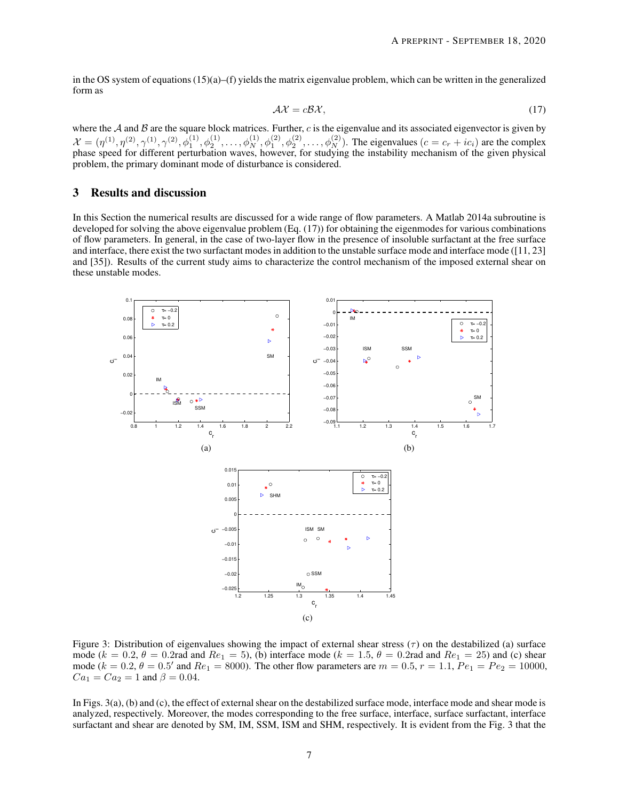in the OS system of equations  $(15)(a)$ –(f) yields the matrix eigenvalue problem, which can be written in the generalized form as

$$
\mathcal{A}\mathcal{X} = c\mathcal{B}\mathcal{X},\tag{17}
$$

where the A and B are the square block matrices. Further,  $c$  is the eigenvalue and its associated eigenvector is given by  $\mathcal{X} = (\eta^{(1)}, \eta^{(2)}, \gamma^{(1)}, \gamma^{(2)}, \phi_1^{(1)}, \phi_2^{(1)}, \ldots, \phi_N^{(1)}, \phi_1^{(2)}, \phi_2^{(2)}, \ldots, \phi_N^{(2)})$ . The eigenvalues  $(c = c_r + ic_i)$  are the complex phase speed for different perturbation waves, however, for studying the instability mechanism of the given physical problem, the primary dominant mode of disturbance is considered.

## 3 Results and discussion

In this Section the numerical results are discussed for a wide range of flow parameters. A Matlab 2014a subroutine is developed for solving the above eigenvalue problem (Eq. (17)) for obtaining the eigenmodes for various combinations of flow parameters. In general, in the case of two-layer flow in the presence of insoluble surfactant at the free surface and interface, there exist the two surfactant modes in addition to the unstable surface mode and interface mode ([11, 23] and [35]). Results of the current study aims to characterize the control mechanism of the imposed external shear on these unstable modes.



Figure 3: Distribution of eigenvalues showing the impact of external shear stress  $(\tau)$  on the destabilized (a) surface mode ( $k = 0.2$ ,  $\theta = 0.2$ rad and  $Re_1 = 5$ ), (b) interface mode ( $k = 1.5$ ,  $\theta = 0.2$ rad and  $Re_1 = 25$ ) and (c) shear mode  $(k = 0.2, \theta = 0.5'$  and  $Re_1 = 8000$ ). The other flow parameters are  $m = 0.5, r = 1.1, Pe_1 = Pe_2 = 10000$ ,  $Ca_1 = Ca_2 = 1$  and  $\beta = 0.04$ .

In Figs. 3(a), (b) and (c), the effect of external shear on the destabilized surface mode, interface mode and shear mode is analyzed, respectively. Moreover, the modes corresponding to the free surface, interface, surface surfactant, interface surfactant and shear are denoted by SM, IM, SSM, ISM and SHM, respectively. It is evident from the Fig. 3 that the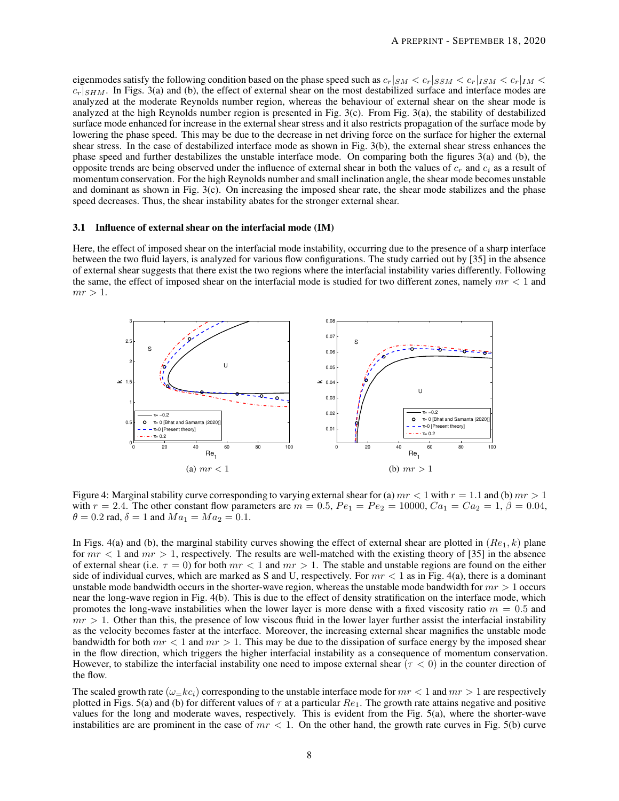eigenmodes satisfy the following condition based on the phase speed such as  $c_r|_{SM} < c_r|_{ISM} < c_r|_{ISM} < c_r|_{IM} <$  $c_r|_{SHM}$ . In Figs. 3(a) and (b), the effect of external shear on the most destabilized surface and interface modes are analyzed at the moderate Reynolds number region, whereas the behaviour of external shear on the shear mode is analyzed at the high Reynolds number region is presented in Fig.  $3(c)$ . From Fig.  $3(a)$ , the stability of destabilized surface mode enhanced for increase in the external shear stress and it also restricts propagation of the surface mode by lowering the phase speed. This may be due to the decrease in net driving force on the surface for higher the external shear stress. In the case of destabilized interface mode as shown in Fig. 3(b), the external shear stress enhances the phase speed and further destabilizes the unstable interface mode. On comparing both the figures 3(a) and (b), the opposite trends are being observed under the influence of external shear in both the values of  $c_r$  and  $c_i$  as a result of momentum conservation. For the high Reynolds number and small inclination angle, the shear mode becomes unstable and dominant as shown in Fig. 3(c). On increasing the imposed shear rate, the shear mode stabilizes and the phase speed decreases. Thus, the shear instability abates for the stronger external shear.

## 3.1 Influence of external shear on the interfacial mode (IM)

Here, the effect of imposed shear on the interfacial mode instability, occurring due to the presence of a sharp interface between the two fluid layers, is analyzed for various flow configurations. The study carried out by [35] in the absence of external shear suggests that there exist the two regions where the interfacial instability varies differently. Following the same, the effect of imposed shear on the interfacial mode is studied for two different zones, namely  $mr < 1$  and  $mr > 1$ .



Figure 4: Marginal stability curve corresponding to varying external shear for (a)  $mr < 1$  with  $r = 1.1$  and (b)  $mr > 1$ with  $r = 2.4$ . The other constant flow parameters are  $m = 0.5$ ,  $Pe_1 = Pe_2 = 10000$ ,  $Ca_1 = Ca_2 = 1$ ,  $\beta = 0.04$ ,  $\theta = 0.2$  rad,  $\delta = 1$  and  $Ma_1 = Ma_2 = 0.1$ .

In Figs. 4(a) and (b), the marginal stability curves showing the effect of external shear are plotted in  $(Re_1, k)$  plane for  $mr < 1$  and  $mr > 1$ , respectively. The results are well-matched with the existing theory of [35] in the absence of external shear (i.e.  $\tau = 0$ ) for both  $mr < 1$  and  $mr > 1$ . The stable and unstable regions are found on the either side of individual curves, which are marked as S and U, respectively. For  $mr < 1$  as in Fig. 4(a), there is a dominant unstable mode bandwidth occurs in the shorter-wave region, whereas the unstable mode bandwidth for  $mr > 1$  occurs near the long-wave region in Fig. 4(b). This is due to the effect of density stratification on the interface mode, which promotes the long-wave instabilities when the lower layer is more dense with a fixed viscosity ratio  $m = 0.5$  and  $mr > 1$ . Other than this, the presence of low viscous fluid in the lower layer further assist the interfacial instability as the velocity becomes faster at the interface. Moreover, the increasing external shear magnifies the unstable mode bandwidth for both  $mr < 1$  and  $mr > 1$ . This may be due to the dissipation of surface energy by the imposed shear in the flow direction, which triggers the higher interfacial instability as a consequence of momentum conservation. However, to stabilize the interfacial instability one need to impose external shear ( $\tau < 0$ ) in the counter direction of the flow.

The scaled growth rate  $(\omega = kc_i)$  corresponding to the unstable interface mode for  $mr < 1$  and  $mr > 1$  are respectively plotted in Figs. 5(a) and (b) for different values of  $\tau$  at a particular  $Re_1$ . The growth rate attains negative and positive values for the long and moderate waves, respectively. This is evident from the Fig. 5(a), where the shorter-wave instabilities are are prominent in the case of  $mr < 1$ . On the other hand, the growth rate curves in Fig. 5(b) curve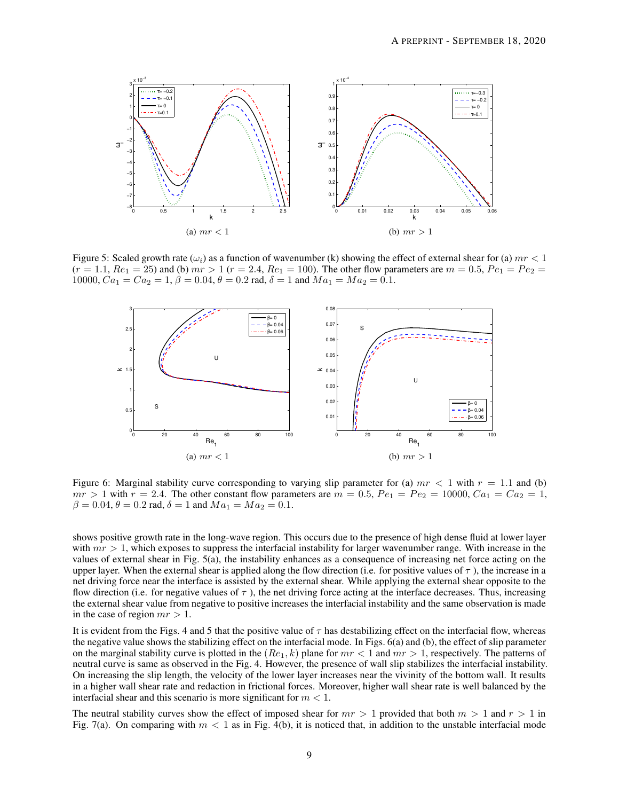

Figure 5: Scaled growth rate ( $\omega_i$ ) as a function of wavenumber (k) showing the effect of external shear for (a)  $mr < 1$  $(r = 1.1, Re_1 = 25)$  and (b)  $mr > 1$   $(r = 2.4, Re_1 = 100)$ . The other flow parameters are  $m = 0.5, Pe_1 = Pe_2 =$ 10000,  $Ca_1 = Ca_2 = 1$ ,  $\beta = 0.04$ ,  $\theta = 0.2$  rad,  $\delta = 1$  and  $Ma_1 = Ma_2 = 0.1$ .



Figure 6: Marginal stability curve corresponding to varying slip parameter for (a)  $mr < 1$  with  $r = 1.1$  and (b)  $mr > 1$  with  $r = 2.4$ . The other constant flow parameters are  $m = 0.5$ ,  $Pe_1 = Pe_2 = 10000$ ,  $Ca_1 = Ca_2 = 1$ ,  $\beta = 0.04, \theta = 0.2$  rad,  $\delta = 1$  and  $Ma_1 = Ma_2 = 0.1$ .

shows positive growth rate in the long-wave region. This occurs due to the presence of high dense fluid at lower layer with  $mr > 1$ , which exposes to suppress the interfacial instability for larger wavenumber range. With increase in the values of external shear in Fig. 5(a), the instability enhances as a consequence of increasing net force acting on the upper layer. When the external shear is applied along the flow direction (i.e. for positive values of  $\tau$ ), the increase in a net driving force near the interface is assisted by the external shear. While applying the external shear opposite to the flow direction (i.e. for negative values of  $\tau$ ), the net driving force acting at the interface decreases. Thus, increasing the external shear value from negative to positive increases the interfacial instability and the same observation is made in the case of region  $mr > 1$ .

It is evident from the Figs. 4 and 5 that the positive value of  $\tau$  has destabilizing effect on the interfacial flow, whereas the negative value shows the stabilizing effect on the interfacial mode. In Figs. 6(a) and (b), the effect of slip parameter on the marginal stability curve is plotted in the  $(Re_1, k)$  plane for  $mr < 1$  and  $mr > 1$ , respectively. The patterns of neutral curve is same as observed in the Fig. 4. However, the presence of wall slip stabilizes the interfacial instability. On increasing the slip length, the velocity of the lower layer increases near the vivinity of the bottom wall. It results in a higher wall shear rate and redaction in frictional forces. Moreover, higher wall shear rate is well balanced by the interfacial shear and this scenario is more significant for  $m < 1$ .

The neutral stability curves show the effect of imposed shear for  $mr > 1$  provided that both  $m > 1$  and  $r > 1$  in Fig. 7(a). On comparing with  $m < 1$  as in Fig. 4(b), it is noticed that, in addition to the unstable interfacial mode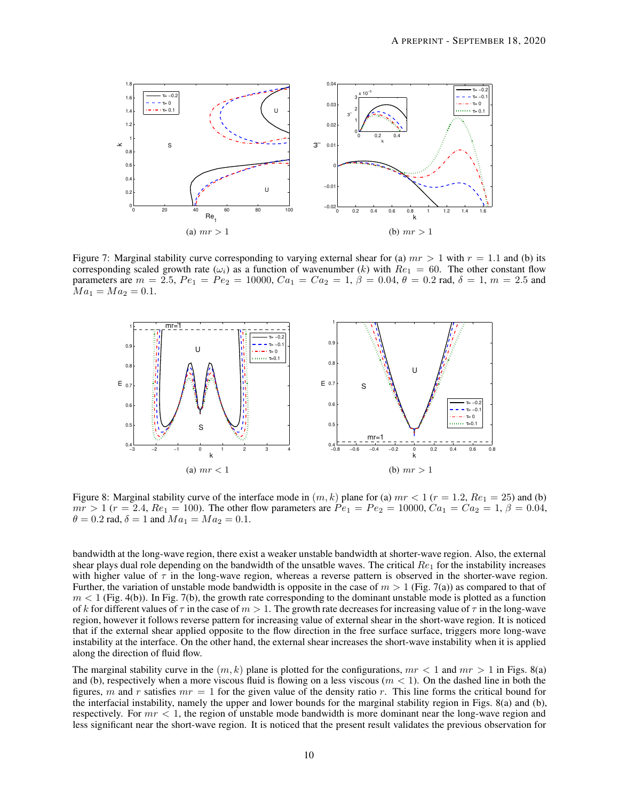

Figure 7: Marginal stability curve corresponding to varying external shear for (a)  $mr > 1$  with  $r = 1.1$  and (b) its corresponding scaled growth rate  $(\omega_i)$  as a function of wavenumber (k) with  $Re_1 = 60$ . The other constant flow parameters are  $m = 2.5$ ,  $Pe_1 = Pe_2 = 10000$ ,  $Ca_1 = Ca_2 = 1$ ,  $\beta = 0.04$ ,  $\theta = 0.2$  rad,  $\delta = 1$ ,  $m = 2.5$  and  $Ma_1 = Ma_2 = 0.1.$ 



Figure 8: Marginal stability curve of the interface mode in  $(m, k)$  plane for (a)  $mr < 1$   $(r = 1.2, Re_1 = 25)$  and (b)  $mr > 1$  ( $r = 2.4$ ,  $Re_1 = 100$ ). The other flow parameters are  $Pe_1 = Pe_2 = 10000$ ,  $Ca_1 = Ca_2 = 1$ ,  $\beta = 0.04$ ,  $\theta = 0.2$  rad,  $\delta = 1$  and  $Ma_1 = Ma_2 = 0.1$ .

bandwidth at the long-wave region, there exist a weaker unstable bandwidth at shorter-wave region. Also, the external shear plays dual role depending on the bandwidth of the unsatble waves. The critical  $Re_1$  for the instability increases with higher value of  $\tau$  in the long-wave region, whereas a reverse pattern is observed in the shorter-wave region. Further, the variation of unstable mode bandwidth is opposite in the case of  $m > 1$  (Fig. 7(a)) as compared to that of  $m < 1$  (Fig. 4(b)). In Fig. 7(b), the growth rate corresponding to the dominant unstable mode is plotted as a function of k for different values of  $\tau$  in the case of  $m > 1$ . The growth rate decreases for increasing value of  $\tau$  in the long-wave region, however it follows reverse pattern for increasing value of external shear in the short-wave region. It is noticed that if the external shear applied opposite to the flow direction in the free surface surface, triggers more long-wave instability at the interface. On the other hand, the external shear increases the short-wave instability when it is applied along the direction of fluid flow.

The marginal stability curve in the  $(m, k)$  plane is plotted for the configurations,  $mr < 1$  and  $mr > 1$  in Figs. 8(a) and (b), respectively when a more viscous fluid is flowing on a less viscous  $(m < 1)$ . On the dashed line in both the figures, m and r satisfies  $mr = 1$  for the given value of the density ratio r. This line forms the critical bound for the interfacial instability, namely the upper and lower bounds for the marginal stability region in Figs. 8(a) and (b), respectively. For  $mr < 1$ , the region of unstable mode bandwidth is more dominant near the long-wave region and less significant near the short-wave region. It is noticed that the present result validates the previous observation for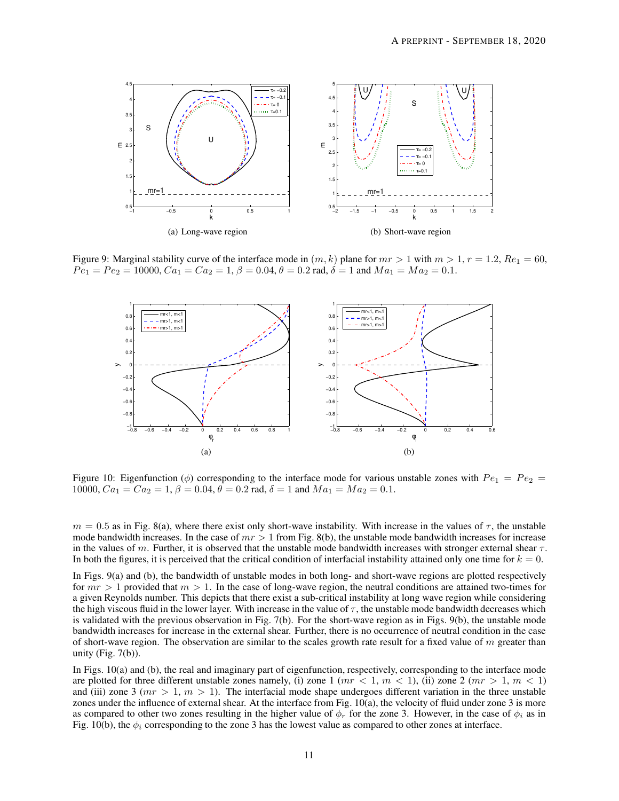

Figure 9: Marginal stability curve of the interface mode in  $(m, k)$  plane for  $mr > 1$  with  $m > 1$ ,  $r = 1.2$ ,  $Re_1 = 60$ ,  $Pe_1 = Pe_2 = 10000, C a_1 = C a_2 = 1, \beta = 0.04, \theta = 0.2$  rad,  $\delta = 1$  and  $Ma_1 = Ma_2 = 0.1$ .



Figure 10: Eigenfunction ( $\phi$ ) corresponding to the interface mode for various unstable zones with  $Pe_1 = Pe_2$  = 10000,  $Ca_1 = Ca_2 = 1$ ,  $\beta = 0.04$ ,  $\theta = 0.2$  rad,  $\delta = 1$  and  $Ma_1 = Ma_2 = 0.1$ .

 $m = 0.5$  as in Fig. 8(a), where there exist only short-wave instability. With increase in the values of  $\tau$ , the unstable mode bandwidth increases. In the case of  $mr > 1$  from Fig. 8(b), the unstable mode bandwidth increases for increase in the values of m. Further, it is observed that the unstable mode bandwidth increases with stronger external shear  $\tau$ . In both the figures, it is perceived that the critical condition of interfacial instability attained only one time for  $k = 0$ .

In Figs. 9(a) and (b), the bandwidth of unstable modes in both long- and short-wave regions are plotted respectively for  $mr > 1$  provided that  $m > 1$ . In the case of long-wave region, the neutral conditions are attained two-times for a given Reynolds number. This depicts that there exist a sub-critical instability at long wave region while considering the high viscous fluid in the lower layer. With increase in the value of  $\tau$ , the unstable mode bandwidth decreases which is validated with the previous observation in Fig. 7(b). For the short-wave region as in Figs. 9(b), the unstable mode bandwidth increases for increase in the external shear. Further, there is no occurrence of neutral condition in the case of short-wave region. The observation are similar to the scales growth rate result for a fixed value of  $m$  greater than unity (Fig.  $7(b)$ ).

In Figs. 10(a) and (b), the real and imaginary part of eigenfunction, respectively, corresponding to the interface mode are plotted for three different unstable zones namely, (i) zone 1 ( $mr < 1$ ,  $m < 1$ ), (ii) zone 2 ( $mr > 1$ ,  $m < 1$ ) and (iii) zone 3 ( $mr > 1$ ,  $m > 1$ ). The interfacial mode shape undergoes different variation in the three unstable zones under the influence of external shear. At the interface from Fig. 10(a), the velocity of fluid under zone 3 is more as compared to other two zones resulting in the higher value of  $\phi_r$  for the zone 3. However, in the case of  $\phi_i$  as in Fig. 10(b), the  $\phi_i$  corresponding to the zone 3 has the lowest value as compared to other zones at interface.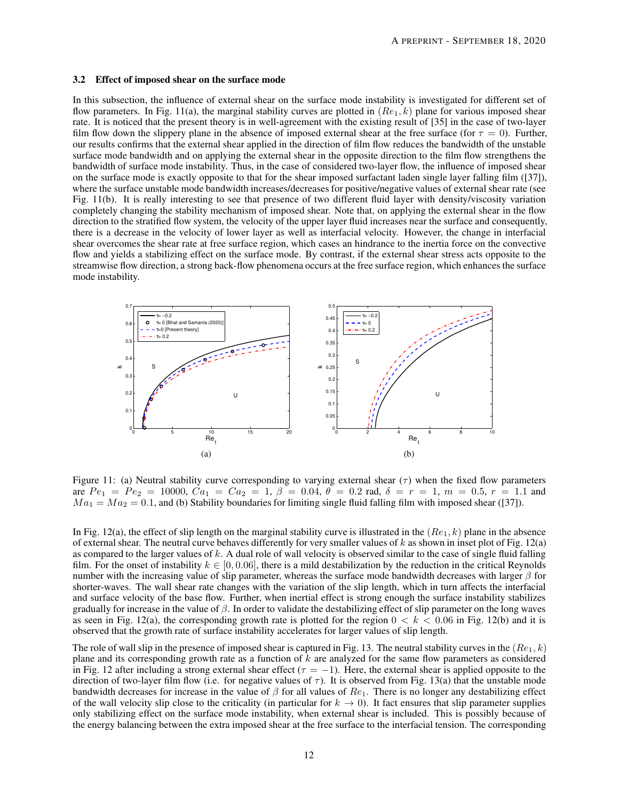### 3.2 Effect of imposed shear on the surface mode

In this subsection, the influence of external shear on the surface mode instability is investigated for different set of flow parameters. In Fig. 11(a), the marginal stability curves are plotted in  $(Re_1, k)$  plane for various imposed shear rate. It is noticed that the present theory is in well-agreement with the existing result of [35] in the case of two-layer film flow down the slippery plane in the absence of imposed external shear at the free surface (for  $\tau = 0$ ). Further, our results confirms that the external shear applied in the direction of film flow reduces the bandwidth of the unstable surface mode bandwidth and on applying the external shear in the opposite direction to the film flow strengthens the bandwidth of surface mode instability. Thus, in the case of considered two-layer flow, the influence of imposed shear on the surface mode is exactly opposite to that for the shear imposed surfactant laden single layer falling film ([37]), where the surface unstable mode bandwidth increases/decreases for positive/negative values of external shear rate (see Fig. 11(b). It is really interesting to see that presence of two different fluid layer with density/viscosity variation completely changing the stability mechanism of imposed shear. Note that, on applying the external shear in the flow direction to the stratified flow system, the velocity of the upper layer fluid increases near the surface and consequently, there is a decrease in the velocity of lower layer as well as interfacial velocity. However, the change in interfacial shear overcomes the shear rate at free surface region, which cases an hindrance to the inertia force on the convective flow and yields a stabilizing effect on the surface mode. By contrast, if the external shear stress acts opposite to the streamwise flow direction, a strong back-flow phenomena occurs at the free surface region, which enhances the surface mode instability.



Figure 11: (a) Neutral stability curve corresponding to varying external shear  $(\tau)$  when the fixed flow parameters are  $Pe_1 = Pe_2 = 10000$ ,  $Ca_1 = Ca_2 = 1$ ,  $\beta = 0.04$ ,  $\theta = 0.2$  rad,  $\delta = r = 1$ ,  $m = 0.5$ ,  $r = 1.1$  and  $Ma_1 = Ma_2 = 0.1$ , and (b) Stability boundaries for limiting single fluid falling film with imposed shear ([37]).

In Fig. 12(a), the effect of slip length on the marginal stability curve is illustrated in the  $(Re_1, k)$  plane in the absence of external shear. The neutral curve behaves differently for very smaller values of  $k$  as shown in inset plot of Fig. 12(a) as compared to the larger values of  $k$ . A dual role of wall velocity is observed similar to the case of single fluid falling film. For the onset of instability  $k \in [0, 0.06]$ , there is a mild destabilization by the reduction in the critical Reynolds number with the increasing value of slip parameter, whereas the surface mode bandwidth decreases with larger  $\beta$  for shorter-waves. The wall shear rate changes with the variation of the slip length, which in turn affects the interfacial and surface velocity of the base flow. Further, when inertial effect is strong enough the surface instability stabilizes gradually for increase in the value of  $\beta$ . In order to validate the destabilizing effect of slip parameter on the long waves as seen in Fig. 12(a), the corresponding growth rate is plotted for the region  $0 < k < 0.06$  in Fig. 12(b) and it is observed that the growth rate of surface instability accelerates for larger values of slip length.

The role of wall slip in the presence of imposed shear is captured in Fig. 13. The neutral stability curves in the  $(Re_1, k)$ plane and its corresponding growth rate as a function of  $k$  are analyzed for the same flow parameters as considered in Fig. 12 after including a strong external shear effect ( $\tau = -1$ ). Here, the external shear is applied opposite to the direction of two-layer film flow (i.e. for negative values of  $\tau$ ). It is observed from Fig. 13(a) that the unstable mode bandwidth decreases for increase in the value of  $\beta$  for all values of  $Re_1$ . There is no longer any destabilizing effect of the wall velocity slip close to the criticality (in particular for  $k \to 0$ ). It fact ensures that slip parameter supplies only stabilizing effect on the surface mode instability, when external shear is included. This is possibly because of the energy balancing between the extra imposed shear at the free surface to the interfacial tension. The corresponding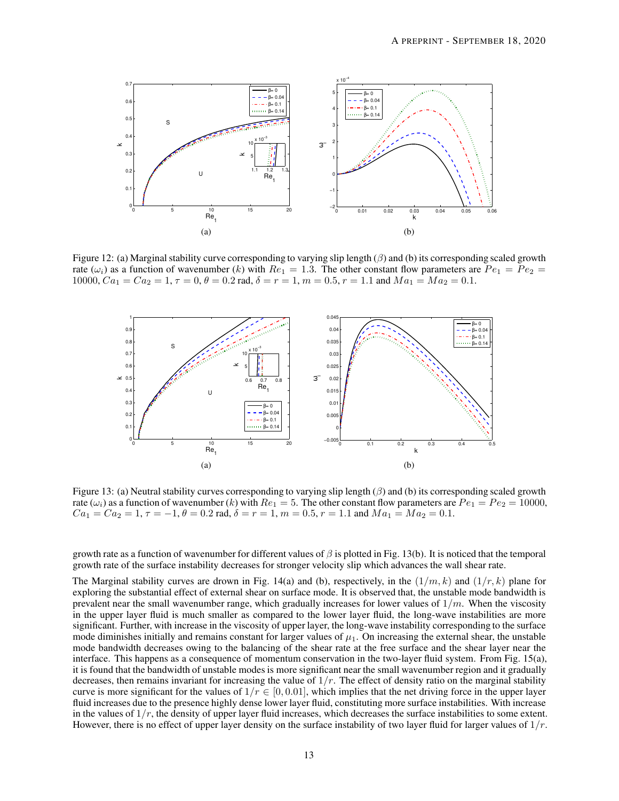

Figure 12: (a) Marginal stability curve corresponding to varying slip length  $(\beta)$  and (b) its corresponding scaled growth rate  $(\omega_i)$  as a function of wavenumber (k) with  $Re_1 = 1.3$ . The other constant flow parameters are  $Pe_1 = Pe_2$ 10000,  $Ca_1 = Ca_2 = 1$ ,  $\tau = 0$ ,  $\theta = 0.2$  rad,  $\delta = r = 1$ ,  $m = 0.5$ ,  $r = 1.1$  and  $Ma_1 = Ma_2 = 0.1$ .



Figure 13: (a) Neutral stability curves corresponding to varying slip length  $(\beta)$  and (b) its corresponding scaled growth rate  $(\omega_i)$  as a function of wavenumber (k) with  $Re_1 = 5$ . The other constant flow parameters are  $Pe_1 = Pe_2 = 10000$ ,  $Ca_1 = Ca_2 = 1, \tau = -1, \theta = 0.2$  rad,  $\delta = r = 1, m = 0.5, r = 1.1$  and  $Ma_1 = Ma_2 = 0.1$ .

growth rate as a function of wavenumber for different values of  $\beta$  is plotted in Fig. 13(b). It is noticed that the temporal growth rate of the surface instability decreases for stronger velocity slip which advances the wall shear rate.

The Marginal stability curves are drown in Fig. 14(a) and (b), respectively, in the  $(1/m, k)$  and  $(1/r, k)$  plane for exploring the substantial effect of external shear on surface mode. It is observed that, the unstable mode bandwidth is prevalent near the small wavenumber range, which gradually increases for lower values of  $1/m$ . When the viscosity in the upper layer fluid is much smaller as compared to the lower layer fluid, the long-wave instabilities are more significant. Further, with increase in the viscosity of upper layer, the long-wave instability corresponding to the surface mode diminishes initially and remains constant for larger values of  $\mu_1$ . On increasing the external shear, the unstable mode bandwidth decreases owing to the balancing of the shear rate at the free surface and the shear layer near the interface. This happens as a consequence of momentum conservation in the two-layer fluid system. From Fig. 15(a), it is found that the bandwidth of unstable modes is more significant near the small wavenumber region and it gradually decreases, then remains invariant for increasing the value of  $1/r$ . The effect of density ratio on the marginal stability curve is more significant for the values of  $1/r \in [0, 0.01]$ , which implies that the net driving force in the upper layer fluid increases due to the presence highly dense lower layer fluid, constituting more surface instabilities. With increase in the values of  $1/r$ , the density of upper layer fluid increases, which decreases the surface instabilities to some extent. However, there is no effect of upper layer density on the surface instability of two layer fluid for larger values of  $1/r$ .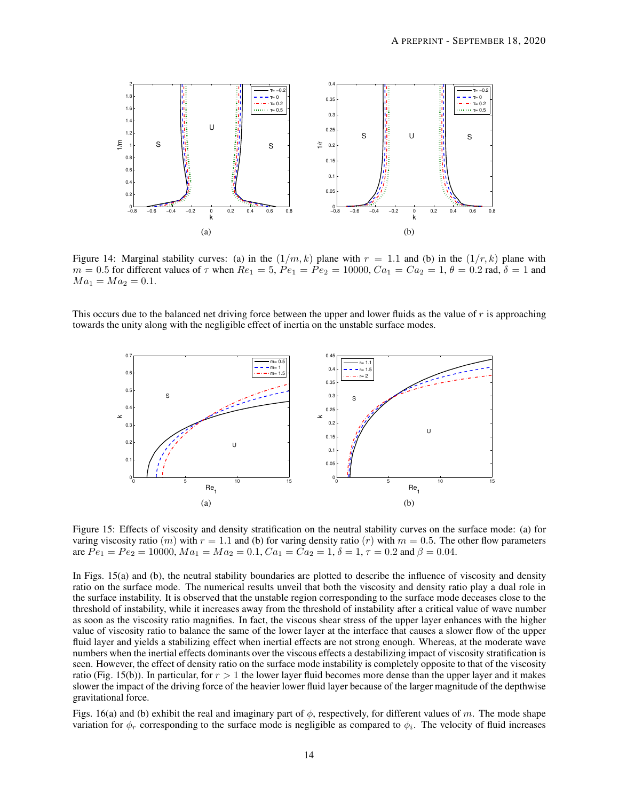

Figure 14: Marginal stability curves: (a) in the  $(1/m, k)$  plane with  $r = 1.1$  and (b) in the  $(1/r, k)$  plane with  $m = 0.5$  for different values of  $\tau$  when  $Re_1 = 5$ ,  $Pe_1 = Pe_2 = 10000$ ,  $Ca_1 = Ca_2 = 1$ ,  $\theta = 0.2$  rad,  $\delta = 1$  and  $Ma_1 = Ma_2 = 0.1.$ 

This occurs due to the balanced net driving force between the upper and lower fluids as the value of  $r$  is approaching towards the unity along with the negligible effect of inertia on the unstable surface modes.



Figure 15: Effects of viscosity and density stratification on the neutral stability curves on the surface mode: (a) for varing viscosity ratio  $(m)$  with  $r = 1.1$  and (b) for varing density ratio  $(r)$  with  $m = 0.5$ . The other flow parameters are  $Pe_1 = Pe_2 = 10000$ ,  $Ma_1 = Ma_2 = 0.1$ ,  $Ca_1 = Ca_2 = 1$ ,  $\delta = 1$ ,  $\tau = 0.2$  and  $\beta = 0.04$ .

In Figs. 15(a) and (b), the neutral stability boundaries are plotted to describe the influence of viscosity and density ratio on the surface mode. The numerical results unveil that both the viscosity and density ratio play a dual role in the surface instability. It is observed that the unstable region corresponding to the surface mode deceases close to the threshold of instability, while it increases away from the threshold of instability after a critical value of wave number as soon as the viscosity ratio magnifies. In fact, the viscous shear stress of the upper layer enhances with the higher value of viscosity ratio to balance the same of the lower layer at the interface that causes a slower flow of the upper fluid layer and yields a stabilizing effect when inertial effects are not strong enough. Whereas, at the moderate wave numbers when the inertial effects dominants over the viscous effects a destabilizing impact of viscosity stratification is seen. However, the effect of density ratio on the surface mode instability is completely opposite to that of the viscosity ratio (Fig. 15(b)). In particular, for  $r > 1$  the lower layer fluid becomes more dense than the upper layer and it makes slower the impact of the driving force of the heavier lower fluid layer because of the larger magnitude of the depthwise gravitational force.

Figs. 16(a) and (b) exhibit the real and imaginary part of  $\phi$ , respectively, for different values of m. The mode shape variation for  $\phi_r$  corresponding to the surface mode is negligible as compared to  $\phi_i$ . The velocity of fluid increases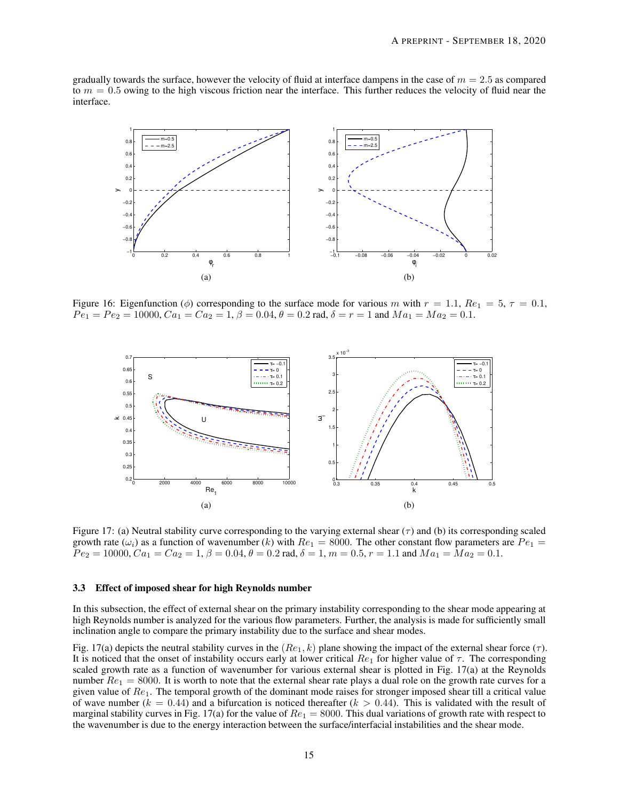gradually towards the surface, however the velocity of fluid at interface dampens in the case of  $m = 2.5$  as compared to  $m = 0.5$  owing to the high viscous friction near the interface. This further reduces the velocity of fluid near the interface.



Figure 16: Eigenfunction ( $\phi$ ) corresponding to the surface mode for various m with  $r = 1.1$ ,  $Re_1 = 5$ ,  $\tau = 0.1$ ,  $Pe_1 = Pe_2 = 10000, Ca_1 = Ca_2 = 1, \beta = 0.04, \theta = 0.2$  rad,  $\delta = r = 1$  and  $Ma_1 = Ma_2 = 0.1$ .



Figure 17: (a) Neutral stability curve corresponding to the varying external shear ( $\tau$ ) and (b) its corresponding scaled growth rate ( $\omega_i$ ) as a function of wavenumber (k) with  $Re_1 = 8000$ . The other constant flow parameters are  $Pe_1 =$  $Pe_2 = 10000, Ca_1 = Ca_2 = 1, \beta = 0.04, \theta = 0.2$  rad,  $\delta = 1, m = 0.5, r = 1.1$  and  $Ma_1 = Ma_2 = 0.1$ .

### 3.3 Effect of imposed shear for high Reynolds number

In this subsection, the effect of external shear on the primary instability corresponding to the shear mode appearing at high Reynolds number is analyzed for the various flow parameters. Further, the analysis is made for sufficiently small inclination angle to compare the primary instability due to the surface and shear modes.

Fig. 17(a) depicts the neutral stability curves in the  $(Re_1, k)$  plane showing the impact of the external shear force  $(\tau)$ . It is noticed that the onset of instability occurs early at lower critical  $Re_1$  for higher value of  $\tau$ . The corresponding scaled growth rate as a function of wavenumber for various external shear is plotted in Fig. 17(a) at the Reynolds number  $Re_1 = 8000$ . It is worth to note that the external shear rate plays a dual role on the growth rate curves for a given value of  $Re_1$ . The temporal growth of the dominant mode raises for stronger imposed shear till a critical value of wave number  $(k = 0.44)$  and a bifurcation is noticed thereafter  $(k > 0.44)$ . This is validated with the result of marginal stability curves in Fig. 17(a) for the value of  $Re_1 = 8000$ . This dual variations of growth rate with respect to the wavenumber is due to the energy interaction between the surface/interfacial instabilities and the shear mode.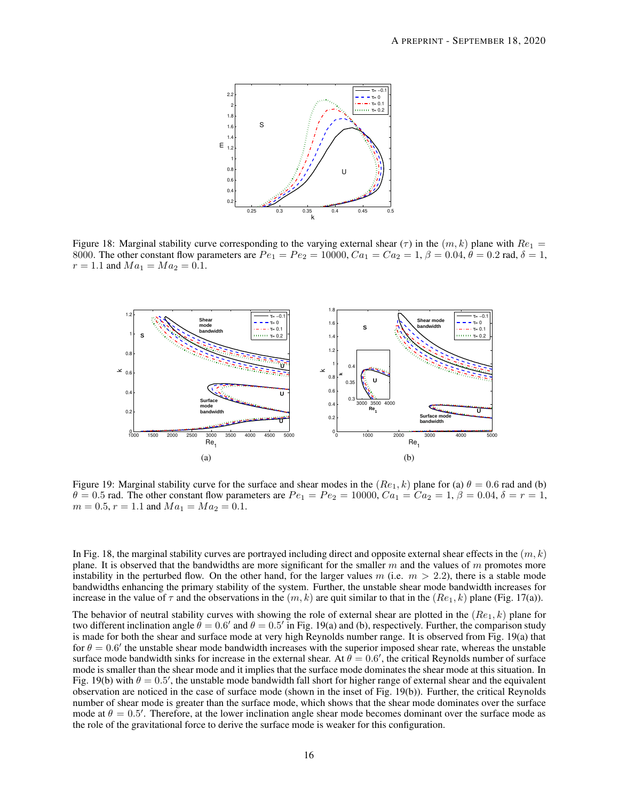

Figure 18: Marginal stability curve corresponding to the varying external shear ( $\tau$ ) in the  $(m, k)$  plane with  $Re_1$  = 8000. The other constant flow parameters are  $Pe_1 = Pe_2 = 10000$ ,  $Ca_1 = Ca_2 = 1$ ,  $\beta = 0.04$ ,  $\theta = 0.2$  rad,  $\delta = 1$ ,  $r = 1.1$  and  $Ma_1 = Ma_2 = 0.1$ .



Figure 19: Marginal stability curve for the surface and shear modes in the  $(Re_1, k)$  plane for (a)  $\theta = 0.6$  rad and (b)  $\theta = 0.5$  rad. The other constant flow parameters are  $Pe_1 = Pe_2 = 10000$ ,  $Ca_1 = Ca_2 = 1$ ,  $\beta = 0.04$ ,  $\delta = r = 1$ ,  $m = 0.5, r = 1.1$  and  $Ma_1 = Ma_2 = 0.1$ .

In Fig. 18, the marginal stability curves are portrayed including direct and opposite external shear effects in the  $(m, k)$ plane. It is observed that the bandwidths are more significant for the smaller m and the values of m promotes more instability in the perturbed flow. On the other hand, for the larger values  $m$  (i.e.  $m > 2.2$ ), there is a stable mode bandwidths enhancing the primary stability of the system. Further, the unstable shear mode bandwidth increases for increase in the value of  $\tau$  and the observations in the  $(m, k)$  are quit similar to that in the  $(Re_1, k)$  plane (Fig. 17(a)).

The behavior of neutral stability curves with showing the role of external shear are plotted in the  $(Re<sub>1</sub>, k)$  plane for two different inclination angle  $\dot{\theta} = 0.6'$  and  $\theta = 0.5'$  in Fig. 19(a) and (b), respectively. Further, the comparison study is made for both the shear and surface mode at very high Reynolds number range. It is observed from Fig. 19(a) that for  $\theta = 0.6'$  the unstable shear mode bandwidth increases with the superior imposed shear rate, whereas the unstable surface mode bandwidth sinks for increase in the external shear. At  $\theta = 0.6'$ , the critical Reynolds number of surface mode is smaller than the shear mode and it implies that the surface mode dominates the shear mode at this situation. In Fig. 19(b) with  $\theta = 0.5'$ , the unstable mode bandwidth fall short for higher range of external shear and the equivalent observation are noticed in the case of surface mode (shown in the inset of Fig. 19(b)). Further, the critical Reynolds number of shear mode is greater than the surface mode, which shows that the shear mode dominates over the surface mode at  $\theta = 0.5'$ . Therefore, at the lower inclination angle shear mode becomes dominant over the surface mode as the role of the gravitational force to derive the surface mode is weaker for this configuration.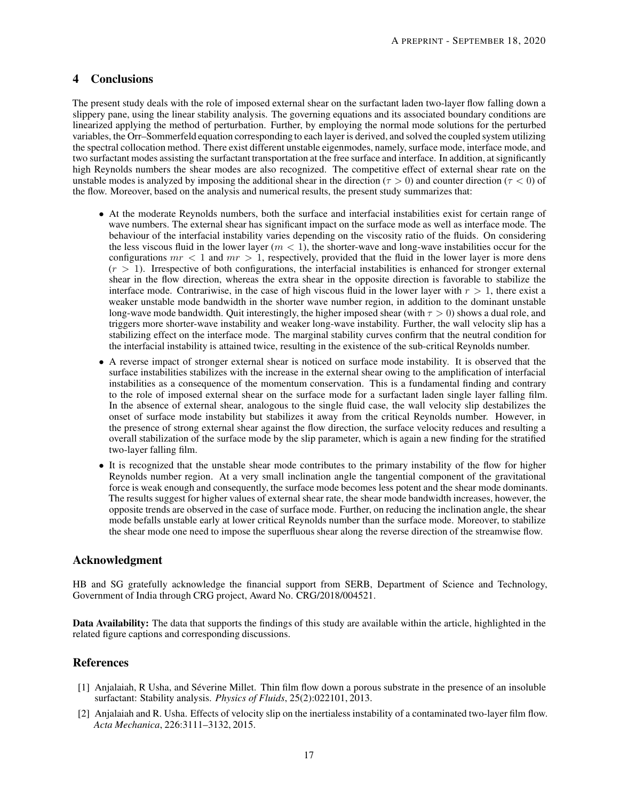# 4 Conclusions

The present study deals with the role of imposed external shear on the surfactant laden two-layer flow falling down a slippery pane, using the linear stability analysis. The governing equations and its associated boundary conditions are linearized applying the method of perturbation. Further, by employing the normal mode solutions for the perturbed variables, the Orr–Sommerfeld equation corresponding to each layer is derived, and solved the coupled system utilizing the spectral collocation method. There exist different unstable eigenmodes, namely, surface mode, interface mode, and two surfactant modes assisting the surfactant transportation at the free surface and interface. In addition, at significantly high Reynolds numbers the shear modes are also recognized. The competitive effect of external shear rate on the unstable modes is analyzed by imposing the additional shear in the direction ( $\tau > 0$ ) and counter direction ( $\tau < 0$ ) of the flow. Moreover, based on the analysis and numerical results, the present study summarizes that:

- At the moderate Reynolds numbers, both the surface and interfacial instabilities exist for certain range of wave numbers. The external shear has significant impact on the surface mode as well as interface mode. The behaviour of the interfacial instability varies depending on the viscosity ratio of the fluids. On considering the less viscous fluid in the lower layer  $(m < 1)$ , the shorter-wave and long-wave instabilities occur for the configurations  $mr < 1$  and  $mr > 1$ , respectively, provided that the fluid in the lower layer is more dens  $(r > 1)$ . Irrespective of both configurations, the interfacial instabilities is enhanced for stronger external shear in the flow direction, whereas the extra shear in the opposite direction is favorable to stabilize the interface mode. Contrariwise, in the case of high viscous fluid in the lower layer with  $r > 1$ , there exist a weaker unstable mode bandwidth in the shorter wave number region, in addition to the dominant unstable long-wave mode bandwidth. Quit interestingly, the higher imposed shear (with  $\tau > 0$ ) shows a dual role, and triggers more shorter-wave instability and weaker long-wave instability. Further, the wall velocity slip has a stabilizing effect on the interface mode. The marginal stability curves confirm that the neutral condition for the interfacial instability is attained twice, resulting in the existence of the sub-critical Reynolds number.
- A reverse impact of stronger external shear is noticed on surface mode instability. It is observed that the surface instabilities stabilizes with the increase in the external shear owing to the amplification of interfacial instabilities as a consequence of the momentum conservation. This is a fundamental finding and contrary to the role of imposed external shear on the surface mode for a surfactant laden single layer falling film. In the absence of external shear, analogous to the single fluid case, the wall velocity slip destabilizes the onset of surface mode instability but stabilizes it away from the critical Reynolds number. However, in the presence of strong external shear against the flow direction, the surface velocity reduces and resulting a overall stabilization of the surface mode by the slip parameter, which is again a new finding for the stratified two-layer falling film.
- It is recognized that the unstable shear mode contributes to the primary instability of the flow for higher Reynolds number region. At a very small inclination angle the tangential component of the gravitational force is weak enough and consequently, the surface mode becomes less potent and the shear mode dominants. The results suggest for higher values of external shear rate, the shear mode bandwidth increases, however, the opposite trends are observed in the case of surface mode. Further, on reducing the inclination angle, the shear mode befalls unstable early at lower critical Reynolds number than the surface mode. Moreover, to stabilize the shear mode one need to impose the superfluous shear along the reverse direction of the streamwise flow.

# Acknowledgment

HB and SG gratefully acknowledge the financial support from SERB, Department of Science and Technology, Government of India through CRG project, Award No. CRG/2018/004521.

Data Availability: The data that supports the findings of this study are available within the article, highlighted in the related figure captions and corresponding discussions.

## References

- [1] Anjalaiah, R Usha, and Séverine Millet. Thin film flow down a porous substrate in the presence of an insoluble surfactant: Stability analysis. *Physics of Fluids*, 25(2):022101, 2013.
- [2] Anjalaiah and R. Usha. Effects of velocity slip on the inertialess instability of a contaminated two-layer film flow. *Acta Mechanica*, 226:3111–3132, 2015.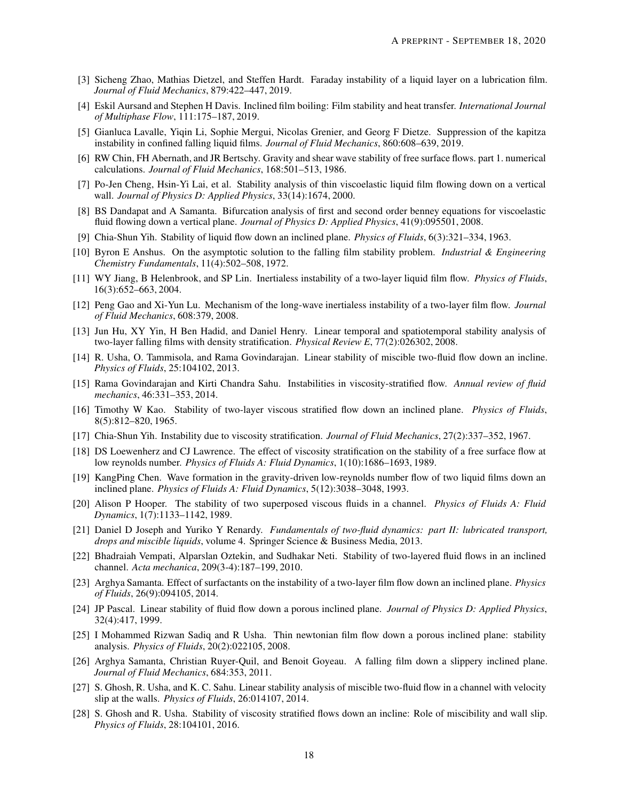- [3] Sicheng Zhao, Mathias Dietzel, and Steffen Hardt. Faraday instability of a liquid layer on a lubrication film. *Journal of Fluid Mechanics*, 879:422–447, 2019.
- [4] Eskil Aursand and Stephen H Davis. Inclined film boiling: Film stability and heat transfer. *International Journal of Multiphase Flow*, 111:175–187, 2019.
- [5] Gianluca Lavalle, Yiqin Li, Sophie Mergui, Nicolas Grenier, and Georg F Dietze. Suppression of the kapitza instability in confined falling liquid films. *Journal of Fluid Mechanics*, 860:608–639, 2019.
- [6] RW Chin, FH Abernath, and JR Bertschy. Gravity and shear wave stability of free surface flows. part 1. numerical calculations. *Journal of Fluid Mechanics*, 168:501–513, 1986.
- [7] Po-Jen Cheng, Hsin-Yi Lai, et al. Stability analysis of thin viscoelastic liquid film flowing down on a vertical wall. *Journal of Physics D: Applied Physics*, 33(14):1674, 2000.
- [8] BS Dandapat and A Samanta. Bifurcation analysis of first and second order benney equations for viscoelastic fluid flowing down a vertical plane. *Journal of Physics D: Applied Physics*, 41(9):095501, 2008.
- [9] Chia-Shun Yih. Stability of liquid flow down an inclined plane. *Physics of Fluids*, 6(3):321–334, 1963.
- [10] Byron E Anshus. On the asymptotic solution to the falling film stability problem. *Industrial & Engineering Chemistry Fundamentals*, 11(4):502–508, 1972.
- [11] WY Jiang, B Helenbrook, and SP Lin. Inertialess instability of a two-layer liquid film flow. *Physics of Fluids*, 16(3):652–663, 2004.
- [12] Peng Gao and Xi-Yun Lu. Mechanism of the long-wave inertialess instability of a two-layer film flow. *Journal of Fluid Mechanics*, 608:379, 2008.
- [13] Jun Hu, XY Yin, H Ben Hadid, and Daniel Henry. Linear temporal and spatiotemporal stability analysis of two-layer falling films with density stratification. *Physical Review E*, 77(2):026302, 2008.
- [14] R. Usha, O. Tammisola, and Rama Govindarajan. Linear stability of miscible two-fluid flow down an incline. *Physics of Fluids*, 25:104102, 2013.
- [15] Rama Govindarajan and Kirti Chandra Sahu. Instabilities in viscosity-stratified flow. *Annual review of fluid mechanics*, 46:331–353, 2014.
- [16] Timothy W Kao. Stability of two-layer viscous stratified flow down an inclined plane. *Physics of Fluids*, 8(5):812–820, 1965.
- [17] Chia-Shun Yih. Instability due to viscosity stratification. *Journal of Fluid Mechanics*, 27(2):337–352, 1967.
- [18] DS Loewenherz and CJ Lawrence. The effect of viscosity stratification on the stability of a free surface flow at low reynolds number. *Physics of Fluids A: Fluid Dynamics*, 1(10):1686–1693, 1989.
- [19] KangPing Chen. Wave formation in the gravity-driven low-reynolds number flow of two liquid films down an inclined plane. *Physics of Fluids A: Fluid Dynamics*, 5(12):3038–3048, 1993.
- [20] Alison P Hooper. The stability of two superposed viscous fluids in a channel. *Physics of Fluids A: Fluid Dynamics*, 1(7):1133–1142, 1989.
- [21] Daniel D Joseph and Yuriko Y Renardy. *Fundamentals of two-fluid dynamics: part II: lubricated transport, drops and miscible liquids*, volume 4. Springer Science & Business Media, 2013.
- [22] Bhadraiah Vempati, Alparslan Oztekin, and Sudhakar Neti. Stability of two-layered fluid flows in an inclined channel. *Acta mechanica*, 209(3-4):187–199, 2010.
- [23] Arghya Samanta. Effect of surfactants on the instability of a two-layer film flow down an inclined plane. *Physics of Fluids*, 26(9):094105, 2014.
- [24] JP Pascal. Linear stability of fluid flow down a porous inclined plane. *Journal of Physics D: Applied Physics*, 32(4):417, 1999.
- [25] I Mohammed Rizwan Sadiq and R Usha. Thin newtonian film flow down a porous inclined plane: stability analysis. *Physics of Fluids*, 20(2):022105, 2008.
- [26] Arghya Samanta, Christian Ruyer-Quil, and Benoit Goyeau. A falling film down a slippery inclined plane. *Journal of Fluid Mechanics*, 684:353, 2011.
- [27] S. Ghosh, R. Usha, and K. C. Sahu. Linear stability analysis of miscible two-fluid flow in a channel with velocity slip at the walls. *Physics of Fluids*, 26:014107, 2014.
- [28] S. Ghosh and R. Usha. Stability of viscosity stratified flows down an incline: Role of miscibility and wall slip. *Physics of Fluids*, 28:104101, 2016.